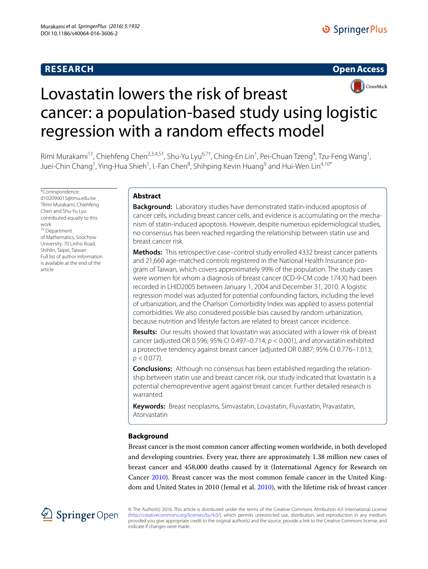## **RESEARCH**





# Lovastatin lowers the risk of breast cancer: a population‑based study using logistic regression with a random effects model

Rimi Murakami<sup>1†</sup>, Chiehfeng Chen<sup>2,3,4,5†</sup>, Shu-Yu Lyu<sup>6,7†</sup>, Ching-En Lin<sup>1</sup>, Pei-Chuan Tzeng<sup>4</sup>, Tzu-Feng Wang<sup>1</sup>, Juei-Chin Chang<sup>1</sup>, Ying-Hua Shieh<sup>1</sup>, I.-Fan Chen<sup>8</sup>, Shihping Kevin Huang<sup>9</sup> and Hui-Wen Lin<sup>4,10\*</sup>

\*Correspondence: d102090015@tmu.edu.tw † Rimi Murakami, Chiehfeng Chen and Shu-Yu Lyu contributed equally to this work

10 Department of Mathematics, Soochow University, 70 Linhsi Road, Shihlin, Taipei, Taiwan Full list of author information is available at the end of the article

## **Abstract**

**Background:** Laboratory studies have demonstrated statin-induced apoptosis of cancer cells, including breast cancer cells, and evidence is accumulating on the mechanism of statin-induced apoptosis. However, despite numerous epidemiological studies, no consensus has been reached regarding the relationship between statin use and breast cancer risk.

**Methods:** This retrospective case–control study enrolled 4332 breast cancer patients and 21,660 age-matched controls registered in the National Health Insurance program of Taiwan, which covers approximately 99% of the population. The study cases were women for whom a diagnosis of breast cancer (ICD-9-CM code 174.X) had been recorded in LHID2005 between January 1, 2004 and December 31, 2010. A logistic regression model was adjusted for potential confounding factors, including the level of urbanization, and the Charlson Comorbidity Index was applied to assess potential comorbidities. We also considered possible bias caused by random urbanization, because nutrition and lifestyle factors are related to breast cancer incidence.

**Results:** Our results showed that lovastatin was associated with a lower risk of breast cancer (adjusted OR 0.596; 95% CI 0.497–0.714; *p* < 0.001), and atorvastatin exhibited a protective tendency against breast cancer (adjusted OR 0.887; 95% CI 0.776–1.013; *p* < 0.077).

**Conclusions:** Although no consensus has been established regarding the relationship between statin use and breast cancer risk, our study indicated that lovastatin is a potential chemopreventive agent against breast cancer. Further detailed research is warranted.

**Keywords:** Breast neoplasms, Simvastatin, Lovastatin, Fluvastatin, Pravastatin, Atorvastatin

## **Background**

Breast cancer is the most common cancer affecting women worldwide, in both developed and developing countries. Every year, there are approximately 1.38 million new cases of breast cancer and 458,000 deaths caused by it (International Agency for Research on Cancer [2010\)](#page-8-0). Breast cancer was the most common female cancer in the United Kingdom and United States in 2010 (Jemal et al. [2010](#page-8-1)), with the lifetime risk of breast cancer



© The Author(s) 2016. This article is distributed under the terms of the Creative Commons Attribution 4.0 International License [\(http://creativecommons.org/licenses/by/4.0/](http://creativecommons.org/licenses/by/4.0/)), which permits unrestricted use, distribution, and reproduction in any medium, provided you give appropriate credit to the original author(s) and the source, provide a link to the Creative Commons license, and indicate if changes were made.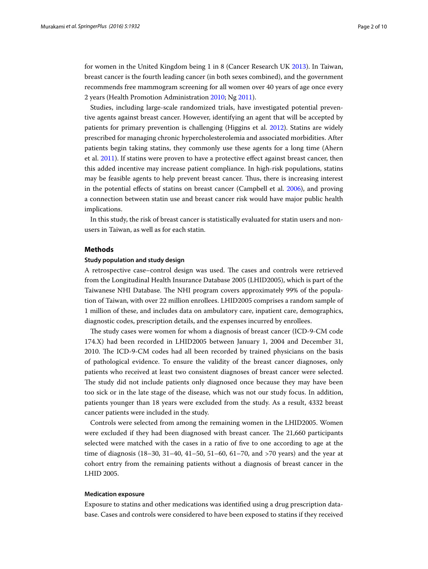for women in the United Kingdom being 1 in 8 (Cancer Research UK [2013](#page-8-2)). In Taiwan, breast cancer is the fourth leading cancer (in both sexes combined), and the government recommends free mammogram screening for all women over 40 years of age once every 2 years (Health Promotion Administration [2010;](#page-8-3) Ng [2011](#page-9-0)).

Studies, including large-scale randomized trials, have investigated potential preventive agents against breast cancer. However, identifying an agent that will be accepted by patients for primary prevention is challenging (Higgins et al. [2012](#page-8-4)). Statins are widely prescribed for managing chronic hypercholesterolemia and associated morbidities. After patients begin taking statins, they commonly use these agents for a long time (Ahern et al. [2011\)](#page-8-5). If statins were proven to have a protective effect against breast cancer, then this added incentive may increase patient compliance. In high-risk populations, statins may be feasible agents to help prevent breast cancer. Thus, there is increasing interest in the potential effects of statins on breast cancer (Campbell et al. [2006\)](#page-8-6), and proving a connection between statin use and breast cancer risk would have major public health implications.

In this study, the risk of breast cancer is statistically evaluated for statin users and nonusers in Taiwan, as well as for each statin.

## **Methods**

## **Study population and study design**

A retrospective case–control design was used. The cases and controls were retrieved from the Longitudinal Health Insurance Database 2005 (LHID2005), which is part of the Taiwanese NHI Database. The NHI program covers approximately 99% of the population of Taiwan, with over 22 million enrollees. LHID2005 comprises a random sample of 1 million of these, and includes data on ambulatory care, inpatient care, demographics, diagnostic codes, prescription details, and the expenses incurred by enrollees.

The study cases were women for whom a diagnosis of breast cancer (ICD-9-CM code 174.X) had been recorded in LHID2005 between January 1, 2004 and December 31, 2010. The ICD-9-CM codes had all been recorded by trained physicians on the basis of pathological evidence. To ensure the validity of the breast cancer diagnoses, only patients who received at least two consistent diagnoses of breast cancer were selected. The study did not include patients only diagnosed once because they may have been too sick or in the late stage of the disease, which was not our study focus. In addition, patients younger than 18 years were excluded from the study. As a result, 4332 breast cancer patients were included in the study.

Controls were selected from among the remaining women in the LHID2005. Women were excluded if they had been diagnosed with breast cancer. The 21,660 participants selected were matched with the cases in a ratio of five to one according to age at the time of diagnosis (18–30, 31–40, 41–50, 51–60, 61–70, and >70 years) and the year at cohort entry from the remaining patients without a diagnosis of breast cancer in the LHID 2005.

#### **Medication exposure**

Exposure to statins and other medications was identified using a drug prescription database. Cases and controls were considered to have been exposed to statins if they received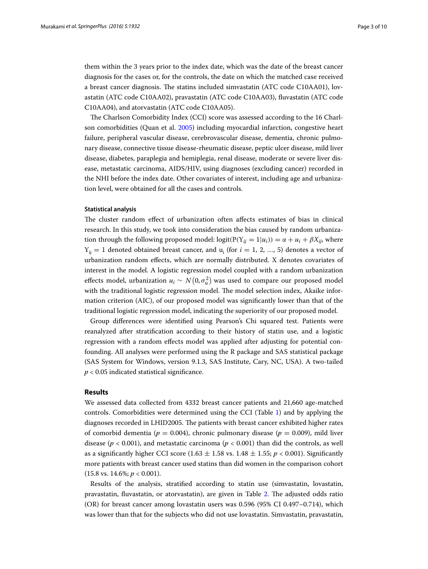them within the 3 years prior to the index date, which was the date of the breast cancer diagnosis for the cases or, for the controls, the date on which the matched case received a breast cancer diagnosis. The statins included simvastatin (ATC code C10AA01), lovastatin (ATC code C10AA02), pravastatin (ATC code C10AA03), fluvastatin (ATC code C10AA04), and atorvastatin (ATC code C10AA05).

The Charlson Comorbidity Index (CCI) score was assessed according to the 16 Charlson comorbidities (Quan et al. [2005\)](#page-9-1) including myocardial infarction, congestive heart failure, peripheral vascular disease, cerebrovascular disease, dementia, chronic pulmonary disease, connective tissue disease-rheumatic disease, peptic ulcer disease, mild liver disease, diabetes, paraplegia and hemiplegia, renal disease, moderate or severe liver disease, metastatic carcinoma, AIDS/HIV, using diagnoses (excluding cancer) recorded in the NHI before the index date. Other covariates of interest, including age and urbanization level, were obtained for all the cases and controls.

### **Statistical analysis**

The cluster random effect of urbanization often affects estimates of bias in clinical research. In this study, we took into consideration the bias caused by random urbanization through the following proposed model: logit( $P(Y_{ij} = 1|u_i) = \alpha + u_i + \beta X_{ij}$ , where  $Y_{ij} = 1$  denoted obtained breast cancer, and  $u_i$  (for  $i = 1, 2, ..., 5$ ) denotes a vector of urbanization random effects, which are normally distributed. X denotes covariates of interest in the model. A logistic regression model coupled with a random urbanization effects model, urbanization  $u_i \sim N(0, \sigma_u^2)$  was used to compare our proposed model with the traditional logistic regression model. The model selection index, Akaike information criterion (AIC), of our proposed model was significantly lower than that of the traditional logistic regression model, indicating the superiority of our proposed model.

Group differences were identified using Pearson's Chi squared test. Patients were reanalyzed after stratification according to their history of statin use, and a logistic regression with a random effects model was applied after adjusting for potential confounding. All analyses were performed using the R package and SAS statistical package (SAS System for Windows, version 9.1.3, SAS Institute, Cary, NC, USA). A two-tailed *p* < 0.05 indicated statistical significance.

## **Results**

We assessed data collected from 4332 breast cancer patients and 21,660 age-matched controls. Comorbidities were determined using the CCI (Table [1](#page-3-0)) and by applying the diagnoses recorded in LHID2005. The patients with breast cancer exhibited higher rates of comorbid dementia ( $p = 0.004$ ), chronic pulmonary disease ( $p = 0.009$ ), mild liver disease ( $p < 0.001$ ), and metastatic carcinoma ( $p < 0.001$ ) than did the controls, as well as a significantly higher CCI score (1.63  $\pm$  1.58 vs. 1.48  $\pm$  1.55; *p* < 0.001). Significantly more patients with breast cancer used statins than did women in the comparison cohort (15.8 vs. 14.6%; *p* < 0.001).

Results of the analysis, stratified according to statin use (simvastatin, lovastatin, pravastatin, fluvastatin, or atorvastatin), are given in Table [2](#page-4-0). The adjusted odds ratio (OR) for breast cancer among lovastatin users was 0.596 (95% CI 0.497–0.714), which was lower than that for the subjects who did not use lovastatin. Simvastatin, pravastatin,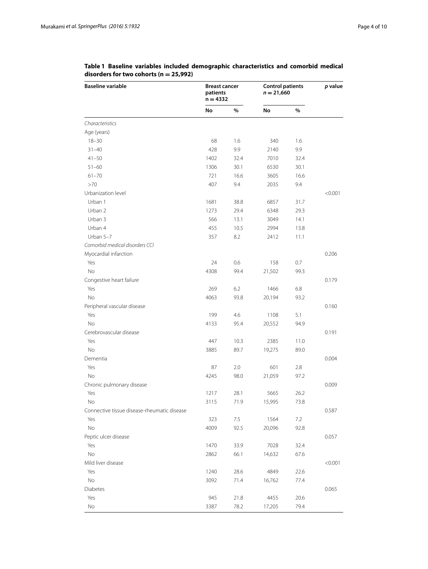| <b>Baseline variable</b>                    | <b>Breast cancer</b><br>patients<br>$n = 4332$ |      | <b>Control patients</b><br>$n = 21,660$ |      | p value |
|---------------------------------------------|------------------------------------------------|------|-----------------------------------------|------|---------|
|                                             | No                                             | %    | No                                      | %    |         |
| Characteristics                             |                                                |      |                                         |      |         |
| Age (years)                                 |                                                |      |                                         |      |         |
| $18 - 30$                                   | 68                                             | 1.6  | 340                                     | 1.6  |         |
| $31 - 40$                                   | 428                                            | 9.9  | 2140                                    | 9.9  |         |
| $41 - 50$                                   | 1402                                           | 32.4 | 7010                                    | 32.4 |         |
| $51 - 60$                                   | 1306                                           | 30.1 | 6530                                    | 30.1 |         |
| $61 - 70$                                   | 721                                            | 16.6 | 3605                                    | 16.6 |         |
| >70                                         | 407                                            | 9.4  | 2035                                    | 9.4  |         |
| Urbanization level                          |                                                |      |                                         |      | < 0.001 |
| Urban 1                                     | 1681                                           | 38.8 | 6857                                    | 31.7 |         |
| Urban 2                                     | 1273                                           | 29.4 | 6348                                    | 29.3 |         |
| Urban 3                                     | 566                                            | 13.1 | 3049                                    | 14.1 |         |
| Urban 4                                     | 455                                            | 10.5 | 2994                                    | 13.8 |         |
| Urban 5-7                                   | 357                                            | 8.2  | 2412                                    | 11.1 |         |
| Comorbid medical disorders CCI              |                                                |      |                                         |      |         |
| Myocardial infarction                       |                                                |      |                                         |      | 0.206   |
| Yes                                         | 24                                             | 0.6  | 158                                     | 0.7  |         |
| No                                          | 4308                                           | 99.4 | 21,502                                  | 99.3 |         |
| Congestive heart failure                    |                                                |      |                                         |      | 0.179   |
| Yes                                         | 269                                            | 6.2  | 1466                                    | 6.8  |         |
| No                                          | 4063                                           | 93.8 | 20,194                                  | 93.2 |         |
| Peripheral vascular disease                 |                                                |      |                                         |      | 0.160   |
| Yes                                         | 199                                            | 4.6  | 1108                                    | 5.1  |         |
| No                                          | 4133                                           | 95.4 | 20,552                                  | 94.9 |         |
| Cerebrovascular disease                     |                                                |      |                                         |      | 0.191   |
|                                             |                                                |      |                                         |      |         |
| Yes                                         | 447                                            | 10.3 | 2385                                    | 11.0 |         |
| No                                          | 3885                                           | 89.7 | 19,275                                  | 89.0 |         |
| Dementia                                    |                                                |      |                                         |      | 0.004   |
| Yes                                         | 87                                             | 2.0  | 601                                     | 2.8  |         |
| No                                          | 4245                                           | 98.0 | 21,059                                  | 97.2 |         |
| Chronic pulmonary disease                   |                                                |      |                                         |      | 0.009   |
| Yes                                         | 1217                                           | 28.1 | 5665                                    | 26.2 |         |
| No.                                         | 3115                                           | 71.9 | 15,995                                  | 73.8 |         |
| Connective tissue disease-rheumatic disease |                                                |      |                                         |      | 0.587   |
| Yes                                         | 323                                            | 7.5  | 1564                                    | 7.2  |         |
| $\rm No$                                    | 4009                                           | 92.5 | 20,096                                  | 92.8 |         |
| Peptic ulcer disease                        |                                                |      |                                         |      | 0.057   |
| Yes                                         | 1470                                           | 33.9 | 7028                                    | 32.4 |         |
| $\rm No$                                    | 2862                                           | 66.1 | 14,632                                  | 67.6 |         |
| Mild liver disease                          |                                                |      |                                         |      | < 0.001 |
| Yes                                         | 1240                                           | 28.6 | 4849                                    | 22.6 |         |
| $\rm No$                                    | 3092                                           | 71.4 | 16,762                                  | 77.4 |         |
| Diabetes                                    |                                                |      |                                         |      | 0.065   |
| Yes                                         | 945                                            | 21.8 | 4455                                    | 20.6 |         |
| No                                          | 3387                                           | 78.2 | 17,205                                  | 79.4 |         |

<span id="page-3-0"></span>**Table 1 Baseline variables included demographic characteristics and comorbid medical disorders for two cohorts (n = 25,992)**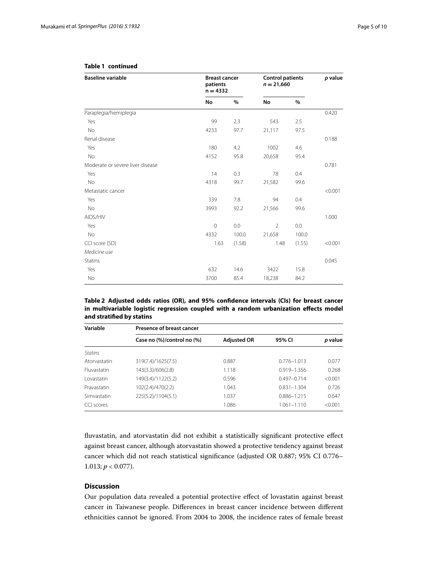| <b>Baseline variable</b>         | <b>Breast cancer</b><br>patients<br>$n = 4332$ |        | <b>Control patients</b><br>$n = 21,660$ |        | p value |
|----------------------------------|------------------------------------------------|--------|-----------------------------------------|--------|---------|
|                                  | No                                             | %      | No                                      | $\%$   |         |
| Paraplegia/hemiplegia            |                                                |        |                                         |        | 0.420   |
| Yes                              | 99                                             | 2.3    | 543                                     | 2.5    |         |
| <b>No</b>                        | 4233                                           | 97.7   | 21,117                                  | 97.5   |         |
| Renal disease                    |                                                |        |                                         |        | 0.188   |
| Yes                              | 180                                            | 4.2    | 1002                                    | 4.6    |         |
| <b>No</b>                        | 4152                                           | 95.8   | 20,658                                  | 95.4   |         |
| Moderate or severe liver disease |                                                |        |                                         |        | 0.781   |
| Yes                              | 14                                             | 0.3    | 78                                      | 0.4    |         |
| <b>No</b>                        | 4318                                           | 99.7   | 21,582                                  | 99.6   |         |
| Metastatic cancer                |                                                |        |                                         |        | < 0.001 |
| Yes                              | 339                                            | 7.8    | 94                                      | 0.4    |         |
| <b>No</b>                        | 3993                                           | 92.2   | 21,566                                  | 99.6   |         |
| AIDS/HIV                         |                                                |        |                                         |        | 1.000   |
| Yes                              | $\mathbf{0}$                                   | 0.0    | $\overline{2}$                          | 0.0    |         |
| No                               | 4332                                           | 100.0  | 21,658                                  | 100.0  |         |
| CCI score (SD)                   | 1.63                                           | (1.58) | 1.48                                    | (1.55) | < 0.001 |
| Medicine use                     |                                                |        |                                         |        |         |
| <b>Statins</b>                   |                                                |        |                                         |        | 0.045   |
| Yes                              | 632                                            | 14.6   | 3422                                    | 15.8   |         |
| No                               | 3700                                           | 85.4   | 18,238                                  | 84.2   |         |

## **Table 1 continued**

<span id="page-4-0"></span>**Table 2 Adjusted odds ratios (OR), and 95% confidence intervals (CIs) for breast cancer in multivariable logistic regression coupled with a random urbanization effects model and stratified by statins**

| Variable     | Presence of breast cancer  |                    |                 |         |  |  |  |
|--------------|----------------------------|--------------------|-----------------|---------|--|--|--|
|              | Case no (%)/control no (%) | <b>Adjusted OR</b> | 95% CI          | p value |  |  |  |
| Statins      |                            |                    |                 |         |  |  |  |
| Atorvastatin | 319(7.4)/1625(7.5)         | 0.887              | $0.776 - 1.013$ | 0.077   |  |  |  |
| Fluvastatin  | 143(3.3)/606(2.8)          | 1.118              | $0.919 - 1.356$ | 0.268   |  |  |  |
| Lovastatin   | 149(3.4)/1122(5.2)         | 0.596              | $0.497 - 0.714$ | < 0.001 |  |  |  |
| Pravastatin  | 102(2.4)/470(2.2)          | 1.043              | $0.831 - 1.304$ | 0.726   |  |  |  |
| Simvastatin  | 225(5.2)/1104(5.1)         | 1.037              | $0.886 - 1.215$ | 0.647   |  |  |  |
| CCI scores   |                            | 1.086              | $1.061 - 1.110$ | < 0.001 |  |  |  |

fluvastatin, and atorvastatin did not exhibit a statistically significant protective effect against breast cancer, although atorvastatin showed a protective tendency against breast cancer which did not reach statistical significance (adjusted OR 0.887; 95% CI 0.776– 1.013; *p* < 0.077).

## **Discussion**

Our population data revealed a potential protective effect of lovastatin against breast cancer in Taiwanese people. Differences in breast cancer incidence between different ethnicities cannot be ignored. From 2004 to 2008, the incidence rates of female breast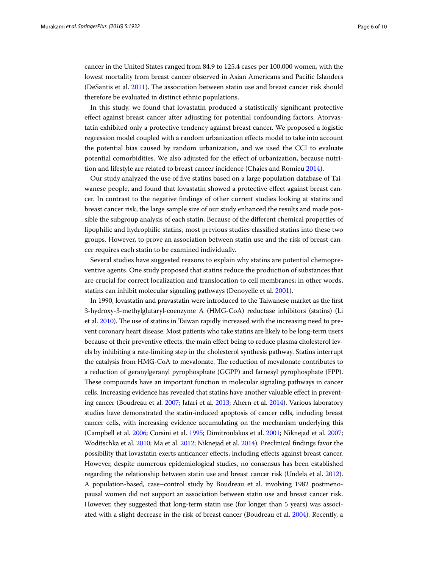cancer in the United States ranged from 84.9 to 125.4 cases per 100,000 women, with the lowest mortality from breast cancer observed in Asian Americans and Pacific Islanders (DeSantis et al. [2011](#page-8-7)). The association between statin use and breast cancer risk should therefore be evaluated in distinct ethnic populations.

In this study, we found that lovastatin produced a statistically significant protective effect against breast cancer after adjusting for potential confounding factors. Atorvastatin exhibited only a protective tendency against breast cancer. We proposed a logistic regression model coupled with a random urbanization effects model to take into account the potential bias caused by random urbanization, and we used the CCI to evaluate potential comorbidities. We also adjusted for the effect of urbanization, because nutrition and lifestyle are related to breast cancer incidence (Chajes and Romieu [2014\)](#page-8-8).

Our study analyzed the use of five statins based on a large population database of Taiwanese people, and found that lovastatin showed a protective effect against breast cancer. In contrast to the negative findings of other current studies looking at statins and breast cancer risk, the large sample size of our study enhanced the results and made possible the subgroup analysis of each statin. Because of the different chemical properties of lipophilic and hydrophilic statins, most previous studies classified statins into these two groups. However, to prove an association between statin use and the risk of breast cancer requires each statin to be examined individually.

Several studies have suggested reasons to explain why statins are potential chemopreventive agents. One study proposed that statins reduce the production of substances that are crucial for correct localization and translocation to cell membranes; in other words, statins can inhibit molecular signaling pathways (Denoyelle et al. [2001\)](#page-8-9).

In 1990, lovastatin and pravastatin were introduced to the Taiwanese market as the first 3-hydroxy-3-methylglutaryl-coenzyme A (HMG-CoA) reductase inhibitors (statins) (Li et al. [2010](#page-9-2)). The use of statins in Taiwan rapidly increased with the increasing need to prevent coronary heart disease. Most patients who take statins are likely to be long-term users because of their preventive effects, the main effect being to reduce plasma cholesterol levels by inhibiting a rate-limiting step in the cholesterol synthesis pathway. Statins interrupt the catalysis from HMG-CoA to mevalonate. The reduction of mevalonate contributes to a reduction of geranylgeranyl pyrophosphate (GGPP) and farnesyl pyrophosphate (FPP). These compounds have an important function in molecular signaling pathways in cancer cells. Increasing evidence has revealed that statins have another valuable effect in preventing cancer (Boudreau et al. [2007;](#page-8-10) Jafari et al. [2013](#page-8-11); Ahern et al. [2014](#page-8-12)). Various laboratory studies have demonstrated the statin-induced apoptosis of cancer cells, including breast cancer cells, with increasing evidence accumulating on the mechanism underlying this (Campbell et al. [2006;](#page-8-6) Corsini et al. [1995;](#page-8-13) Dimitroulakos et al. [2001;](#page-8-14) Niknejad et al. [2007](#page-9-3); Woditschka et al. [2010;](#page-9-4) Ma et al. [2012](#page-9-5); Niknejad et al. [2014](#page-9-6)). Preclinical findings favor the possibility that lovastatin exerts anticancer effects, including effects against breast cancer. However, despite numerous epidemiological studies, no consensus has been established regarding the relationship between statin use and breast cancer risk (Undela et al. [2012](#page-9-7)). A population-based, case–control study by Boudreau et al. involving 1982 postmenopausal women did not support an association between statin use and breast cancer risk. However, they suggested that long-term statin use (for longer than 5 years) was associated with a slight decrease in the risk of breast cancer (Boudreau et al. [2004](#page-8-15)). Recently, a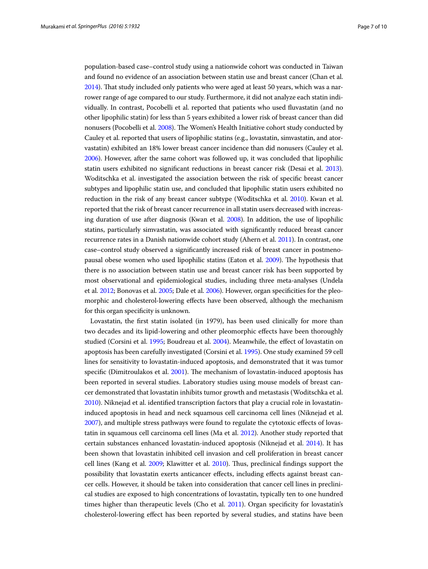population-based case–control study using a nationwide cohort was conducted in Taiwan and found no evidence of an association between statin use and breast cancer (Chan et al. [2014\)](#page-8-16). That study included only patients who were aged at least 50 years, which was a narrower range of age compared to our study. Furthermore, it did not analyze each statin individually. In contrast, Pocobelli et al. reported that patients who used fluvastatin (and no other lipophilic statin) for less than 5 years exhibited a lower risk of breast cancer than did nonusers (Pocobelli et al. [2008](#page-9-8)). The Women's Health Initiative cohort study conducted by Cauley et al. reported that users of lipophilic statins (e.g., lovastatin, simvastatin, and atorvastatin) exhibited an 18% lower breast cancer incidence than did nonusers (Cauley et al. [2006\)](#page-8-17). However, after the same cohort was followed up, it was concluded that lipophilic statin users exhibited no significant reductions in breast cancer risk (Desai et al. [2013](#page-8-18)). Woditschka et al. investigated the association between the risk of specific breast cancer subtypes and lipophilic statin use, and concluded that lipophilic statin users exhibited no reduction in the risk of any breast cancer subtype (Woditschka et al. [2010](#page-9-4)). Kwan et al. reported that the risk of breast cancer recurrence in all statin users decreased with increasing duration of use after diagnosis (Kwan et al. [2008](#page-8-19)). In addition, the use of lipophilic statins, particularly simvastatin, was associated with significantly reduced breast cancer recurrence rates in a Danish nationwide cohort study (Ahern et al. [2011](#page-8-5)). In contrast, one case–control study observed a significantly increased risk of breast cancer in postmenopausal obese women who used lipophilic statins (Eaton et al. [2009\)](#page-8-20). The hypothesis that there is no association between statin use and breast cancer risk has been supported by most observational and epidemiological studies, including three meta-analyses (Undela et al. [2012](#page-9-7); Bonovas et al. [2005;](#page-8-21) Dale et al. [2006\)](#page-8-22). However, organ specificities for the pleomorphic and cholesterol-lowering effects have been observed, although the mechanism for this organ specificity is unknown.

Lovastatin, the first statin isolated (in 1979), has been used clinically for more than two decades and its lipid-lowering and other pleomorphic effects have been thoroughly studied (Corsini et al. [1995](#page-8-13); Boudreau et al. [2004](#page-8-15)). Meanwhile, the effect of lovastatin on apoptosis has been carefully investigated (Corsini et al. [1995](#page-8-13)). One study examined 59 cell lines for sensitivity to lovastatin-induced apoptosis, and demonstrated that it was tumor specific (Dimitroulakos et al. [2001](#page-8-14)). The mechanism of lovastatin-induced apoptosis has been reported in several studies. Laboratory studies using mouse models of breast cancer demonstrated that lovastatin inhibits tumor growth and metastasis (Woditschka et al. [2010](#page-9-4)). Niknejad et al. identified transcription factors that play a crucial role in lovastatininduced apoptosis in head and neck squamous cell carcinoma cell lines (Niknejad et al. [2007](#page-9-3)), and multiple stress pathways were found to regulate the cytotoxic effects of lovastatin in squamous cell carcinoma cell lines (Ma et al. [2012](#page-9-5)). Another study reported that certain substances enhanced lovastatin-induced apoptosis (Niknejad et al. [2014\)](#page-9-6). It has been shown that lovastatin inhibited cell invasion and cell proliferation in breast cancer cell lines (Kang et al. [2009](#page-8-23); Klawitter et al. [2010\)](#page-8-24). Thus, preclinical findings support the possibility that lovastatin exerts anticancer effects, including effects against breast cancer cells. However, it should be taken into consideration that cancer cell lines in preclinical studies are exposed to high concentrations of lovastatin, typically ten to one hundred times higher than therapeutic levels (Cho et al. [2011\)](#page-8-25). Organ specificity for lovastatin's cholesterol-lowering effect has been reported by several studies, and statins have been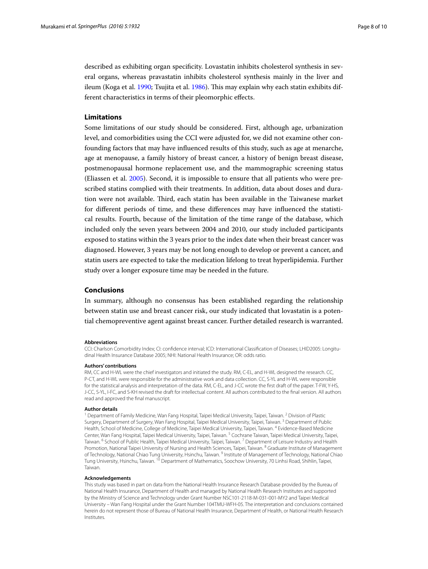described as exhibiting organ specificity. Lovastatin inhibits cholesterol synthesis in several organs, whereas pravastatin inhibits cholesterol synthesis mainly in the liver and ileum (Koga et al. [1990](#page-8-26); Tsujita et al. [1986\)](#page-9-9). This may explain why each statin exhibits different characteristics in terms of their pleomorphic effects.

## **Limitations**

Some limitations of our study should be considered. First, although age, urbanization level, and comorbidities using the CCI were adjusted for, we did not examine other confounding factors that may have influenced results of this study, such as age at menarche, age at menopause, a family history of breast cancer, a history of benign breast disease, postmenopausal hormone replacement use, and the mammographic screening status (Eliassen et al. [2005\)](#page-8-27). Second, it is impossible to ensure that all patients who were prescribed statins complied with their treatments. In addition, data about doses and duration were not available. Third, each statin has been available in the Taiwanese market for different periods of time, and these differences may have influenced the statistical results. Fourth, because of the limitation of the time range of the database, which included only the seven years between 2004 and 2010, our study included participants exposed to statins within the 3 years prior to the index date when their breast cancer was diagnosed. However, 3 years may be not long enough to develop or prevent a cancer, and statin users are expected to take the medication lifelong to treat hyperlipidemia. Further study over a longer exposure time may be needed in the future.

## **Conclusions**

In summary, although no consensus has been established regarding the relationship between statin use and breast cancer risk, our study indicated that lovastatin is a potential chemopreventive agent against breast cancer. Further detailed research is warranted.

#### **Abbreviations**

CCI: Charlson Comorbidity Index; CI: confidence interval; ICD: International Classification of Diseases; LHID2005: Longitudinal Health Insurance Database 2005; NHI: National Health Insurance; OR: odds ratio.

#### **Authors' contributions**

RM, CC and H-WL were the chief investigators and initiated the study. RM, C-EL, and H-WL designed the research. CC, P-CT, and H-WL were responsible for the administrative work and data collection. CC, S-YL and H-WL were responsible for the statistical analysis and interpretation of the data. RM, C-EL, and J-CC wrote the first draft of the paper. T-FW, Y-HS, J-CC, S-YL, I-FC, and S-KH revised the draft for intellectual content. All authors contributed to the final version. All authors read and approved the final manuscript.

#### **Author details**

<sup>1</sup> Department of Family Medicine, Wan Fang Hospital, Taipei Medical University, Taipei, Taiwan. <sup>2</sup> Division of Plastic Surgery, Department of Surgery, Wan Fang Hospital, Taipei Medical University, Taipei, Taiwan. <sup>3</sup> Department of Public Health, School of Medicine, College of Medicine, Taipei Medical University, Taipei, Taiwan. <sup>4</sup> Evidence-Based Medicine Center, Wan Fang Hospital, Taipei Medical University, Taipei, Taiwan. 5 Cochrane Taiwan, Taipei Medical University, Taipei, Taiwan. <sup>6</sup> School of Public Health, Taipei Medical University, Taipei, Taiwan. <sup>7</sup> Department of Leisure Industry and Health Promotion, National Taipei University of Nursing and Health Sciences, Taipei, Taiwan. <sup>8</sup> Graduate Institute of Management of Technology, National Chiao Tung University, Hsinchu, Taiwan. 9 Institute of Management of Technology, National Chiao Tung University, Hsinchu, Taiwan. <sup>10</sup> Department of Mathematics, Soochow University, 70 Linhsi Road, Shihlin, Taipei, Taiwan.

### **Acknowledgements**

This study was based in part on data from the National Health Insurance Research Database provided by the Bureau of National Health Insurance, Department of Health and managed by National Health Research Institutes and supported by the Ministry of Science and Technology under Grant Number NSC101-2118-M-031-001-MY2 and Taipei Medical University – Wan Fang Hospital under the Grant Number 104TMU-WFH-05. The interpretation and conclusions contained herein do not represent those of Bureau of National Health Insurance, Department of Health, or National Health Research Institutes.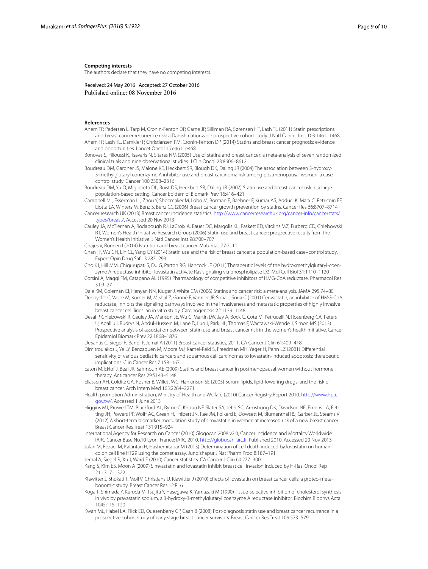#### **Competing interests**

The authors declare that they have no competing interests.

Received: 24 May 2016 Accepted: 27 October 2016 Published online: 08 November 2016

#### **References**

- <span id="page-8-12"></span><span id="page-8-5"></span>Ahern TP, Pedersen L, Tarp M, Cronin-Fenton DP, Garne JP, Silliman RA, Sørensen HT, Lash TL (2011) Statin prescriptions and breast cancer recurrence risk: a Danish nationwide prospective cohort study. J Natl Cancer Inst 103:1461–1468 Ahern TP, Lash TL, Damkier P, Christiansen PM, Cronin-Fenton DP (2014) Statins and breast cancer prognosis: evidence
	- and opportunities. Lancet Oncol 15:e461–e468
- <span id="page-8-21"></span>Bonovas S, Filioussi K, Tsavaris N, Sitaras NM (2005) Use of statins and breast cancer: a meta-analysis of seven randomized clinical trials and nine observational studies. J Clin Oncol 23:8606–8612
- <span id="page-8-15"></span>Boudreau DM, Gardner JS, Malone KE, Heckbert SR, Blough DK, Daling JR (2004) The association between 3-hydroxy-3-methylglutaryl conenzyme A inhibitor use and breast carcinoma risk among postmenopausal women: a case– control study. Cancer 100:2308–2316
- <span id="page-8-10"></span>Boudreau DM, Yu O, Miglioretti DL, Buist DS, Heckbert SR, Daling JR (2007) Statin use and breast cancer risk in a large population-based setting. Cancer Epidemiol Biomark Prev 16:416–421
- <span id="page-8-6"></span>Campbell MJ, Esserman LJ, Zhou Y, Shoemaker M, Lobo M, Borman E, Baehner F, Kumar AS, Adduci K, Marx C, Petricoin EF, Liotta LA, Winters M, Benz S, Benz CC (2006) Breast cancer growth prevention by statins. Cancer Res 66:8707–8714
- <span id="page-8-2"></span>Cancer research UK (2013) Breast cancer incidence statistics. [http://www.cancerresearchuk.org/cancer-info/cancerstats/](http://www.cancerresearchuk.org/cancer-info/cancerstats/types/breast/) [types/breast/.](http://www.cancerresearchuk.org/cancer-info/cancerstats/types/breast/) Accessed 20 Nov 2013
- <span id="page-8-17"></span>Cauley JA, McTiernan A, Rodabough RJ, LaCroix A, Bauer DC, Margolis KL, Paskett ED, Vitolins MZ, Furberg CD, Chlebowski RT, Women's Health Initiative Research Group (2006) Statin use and breast cancer: prospective results from the Women's Health Initiative. J Natl Cancer Inst 98:700–707

<span id="page-8-8"></span>Chajes V, Romieu I (2014) Nutrition and breast cancer. Maturitas 77:7–11

- <span id="page-8-16"></span>Chan TF, Wu CH, Lin CL, Yang CY (2014) Statin use and the risk of breast cancer: a population-based case–control study. Expert Opin Drug Saf 13:287–293
- <span id="page-8-25"></span>Cho KJ, Hill MM, Chigurupati S, Du G, Parton RG, Hancock JF (2011) Therapeutic levels of the hydroxmethylglutaryl-coenzyme A reductase inhibitor lovastatin activate Ras signaling via phospholipase D2. Mol Cell Biol 31:1110–1120
- <span id="page-8-13"></span>Corsini A, Maggi FM, Catapano AL (1995) Pharmacology of competitive inhibitors of HMG-CoA reductase. Pharmacol Res 31:9–27
- <span id="page-8-22"></span>Dale KM, Coleman CI, Henyan NN, Kluger J, White CM (2006) Statins and cancer risk: a meta-analysis. JAMA 295:74–80
- <span id="page-8-9"></span>Denoyelle C, Vasse M, Körner M, Mishal Z, Ganné F, Vannier JP, Soria J, Soria C (2001) Cerivastatin, an inhibitor of HMG-CoA reductase, inhibits the signaling pathways involved in the invasiveness and metastatic properties of highly invasive breast cancer cell lines: an in vitro study. Carcinogenesis 22:1139–1148
- <span id="page-8-18"></span>Desai P, Chlebowski R, Cauley JA, Manson JE, Wu C, Martin LW, Jay A, Bock C, Cote M, Petrucelli N, Rosenberg CA, Peters U, Agalliu I, Budrys N, Abdul-Hussein M, Lane D, Luo J, Park HL, Thomas F, Wactawski-Wende J, Simon MS (2013) Prospective analysis of association between statin use and breast cancer risk in the women's health initiative. Cancer Epidemiol Biomark Prev 22:1868–1876
- <span id="page-8-7"></span>DeSantis C, Siegel R, Bandi P, Jemal A (2011) Breast cancer statistics, 2011. CA Cancer J Clin 61:409–418
- <span id="page-8-14"></span>Dimitroulakos J, Ye LY, Benzaquen M, Moore MJ, Kamel-Reid S, Freedman MH, Yeger H, Penn LZ (2001) Differential sensitivity of various pediatric cancers and squamous cell carcinomas to lovastatin-induced apoptosis: therapeutic implications. Clin Cancer Res 7:158–167
- <span id="page-8-20"></span>Eaton M, Eklof J, Beal JR, Sahmoun AE (2009) Statins and breast cancer in postmenopausal women without hormone therapy. Anticancer Res 29:5143–5148
- <span id="page-8-27"></span>Eliassen AH, Colditz GA, Rosner B, Willett WC, Hankinson SE (2005) Serum lipids, lipid-lowering drugs, and the risk of breast cancer. Arch Intern Med 165:2264–2271
- <span id="page-8-3"></span>Health promotion Administration, Ministry of Health and Welfare (2010) Cancer Registry Report 2010. [http://www.hpa.](http://www.hpa.gov.tw/) [gov.tw/.](http://www.hpa.gov.tw/) Accessed 1 June 2013
- <span id="page-8-4"></span>Higgins MJ, Prowell TM, Blackford AL, Byrne C, Khouri NF, Slater SA, Jeter SC, Armstrong DK, Davidson NE, Emens LA, Fetting JH, Powers PP, Wolff AC, Green H, Thibert JN, Rae JM, Folkerd E, Dowsett M, Blumenthal RS, Garber JE, Stearns V (2012) A short-term biomarker modulation study of simvastatin in women at increased risk of a new breast cancer. Breast Cancer Res Treat 131:915–924
- <span id="page-8-0"></span>International Agency for Research on Cancer (2010) Glogocan 2008 v2.0, Cancer Incidence and Mortality Worldwide: IARC Cancer Base No.10 Lyon, France: IARC 2010. <http://globocan.iarc.fr>. Published 2010. Accessed 20 Nov 2013
- <span id="page-8-11"></span>Jafari M, Rezaei M, Kalantari H, Hashemitabar M (2013) Determination of cell death induced by lovastatin on human colon cell line HT29 using the comet assay. Jundishapur J Nat Pharm Prod 8:187–191
- <span id="page-8-1"></span>Jemal A, Siegel R, Xu J, Ward E (2010) Cancer statistics. CA Cancer J Clin 60:277–300

<span id="page-8-23"></span>Kang S, Kim ES, Moon A (2009) Simvastatin and lovastatin inhibit breast cell invasion induced by H-Ras. Oncol Rep 21:1317–1322

- <span id="page-8-24"></span>Klawitter J, Shokati T, Moll V, Christians U, Klawitter J (2010) Effects of lovastatin on breast cancer cells: a proteo-metabonomic study. Breast Cancer Res 12:R16
- <span id="page-8-26"></span>Koga T, Shimada Y, Kuroda M, Tsujita Y, Hasegawa K, Yamazaki M (1990) Tissue-selective inhibition of cholesterol synthesis in vivo by pravastatin sodium, a 3-hydroxy-3-methylglutaryl coenzyme A reductase inhibitor. Biochim Biophys Acta 1045:115–120
- <span id="page-8-19"></span>Kwan ML, Habel LA, Flick ED, Quesenberry CP, Caan B (2008) Post-diagnosis statin use and breast cancer recurrence in a prospective cohort study of early stage breast cancer survivors. Breast Cancer Res Treat 109:573–579